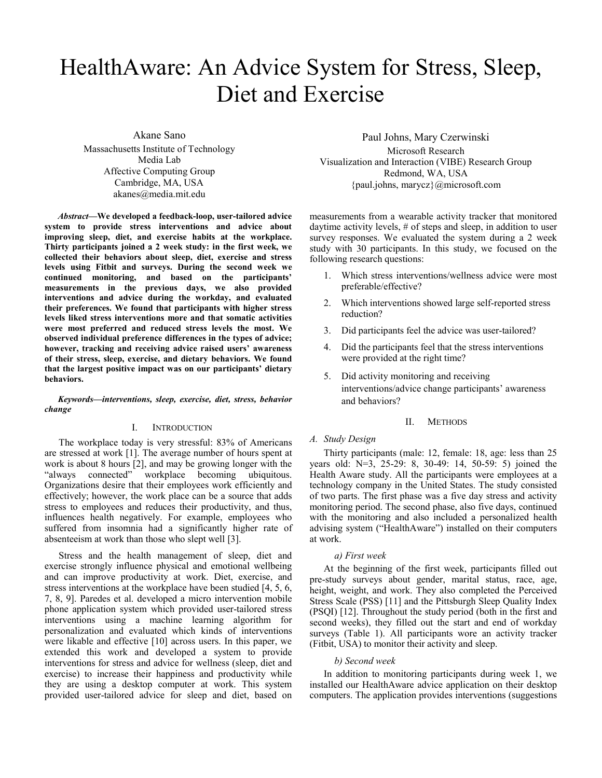# HealthAware: An Advice System for Stress, Sleep, Diet and Exercise

Akane Sano Massachusetts Institute of Technology Media Lab Affective Computing Group Cambridge, MA, USA akanes@media.mit.edu

*Abstract***—We developed a feedback-loop, user-tailored advice system to provide stress interventions and advice about improving sleep, diet, and exercise habits at the workplace. Thirty participants joined a 2 week study: in the first week, we collected their behaviors about sleep, diet, exercise and stress levels using Fitbit and surveys. During the second week we continued monitoring, and based on the participants' measurements in the previous days, we also provided interventions and advice during the workday, and evaluated their preferences. We found that participants with higher stress levels liked stress interventions more and that somatic activities were most preferred and reduced stress levels the most. We observed individual preference differences in the types of advice; however, tracking and receiving advice raised users' awareness of their stress, sleep, exercise, and dietary behaviors. We found that the largest positive impact was on our participants' dietary behaviors.**

*Keywords—interventions, sleep, exercise, diet, stress, behavior change* 

# I. INTRODUCTION

The workplace today is very stressful: 83% of Americans are stressed at work [1]. The average number of hours spent at work is about 8 hours [2], and may be growing longer with the "always connected" workplace becoming ubiquitous. Organizations desire that their employees work efficiently and effectively; however, the work place can be a source that adds stress to employees and reduces their productivity, and thus, influences health negatively. For example, employees who suffered from insomnia had a significantly higher rate of absenteeism at work than those who slept well [3].

Stress and the health management of sleep, diet and exercise strongly influence physical and emotional wellbeing and can improve productivity at work. Diet, exercise, and stress interventions at the workplace have been studied [4, 5, 6, 7, 8, 9]. Paredes et al. developed a micro intervention mobile phone application system which provided user-tailored stress interventions using a machine learning algorithm for personalization and evaluated which kinds of interventions were likable and effective [10] across users. In this paper, we extended this work and developed a system to provide interventions for stress and advice for wellness (sleep, diet and exercise) to increase their happiness and productivity while they are using a desktop computer at work. This system provided user-tailored advice for sleep and diet, based on

Paul Johns, Mary Czerwinski Microsoft Research Visualization and Interaction (VIBE) Research Group Redmond, WA, USA {paul.johns, marycz}@microsoft.com

measurements from a wearable activity tracker that monitored daytime activity levels, # of steps and sleep, in addition to user survey responses. We evaluated the system during a 2 week study with 30 participants. In this study, we focused on the following research questions:

- 1. Which stress interventions/wellness advice were most preferable/effective?
- 2. Which interventions showed large self-reported stress reduction?
- 3. Did participants feel the advice was user-tailored?
- 4. Did the participants feel that the stress interventions were provided at the right time?
- 5. Did activity monitoring and receiving interventions/advice change participants' awareness and behaviors?

## II. METHODS

#### *A. Study Design*

Thirty participants (male: 12, female: 18, age: less than 25 years old: N=3, 25-29: 8, 30-49: 14, 50-59: 5) joined the Health Aware study. All the participants were employees at a technology company in the United States. The study consisted of two parts. The first phase was a five day stress and activity monitoring period. The second phase, also five days, continued with the monitoring and also included a personalized health advising system ("HealthAware") installed on their computers at work.

# *a) First week*

At the beginning of the first week, participants filled out pre-study surveys about gender, marital status, race, age, height, weight, and work. They also completed the Perceived Stress Scale (PSS) [11] and the Pittsburgh Sleep Quality Index (PSQI) [12]. Throughout the study period (both in the first and second weeks), they filled out the start and end of workday surveys (Table 1). All participants wore an activity tracker (Fitbit, USA) to monitor their activity and sleep.

# *b) Second week*

In addition to monitoring participants during week 1, we installed our HealthAware advice application on their desktop computers. The application provides interventions (suggestions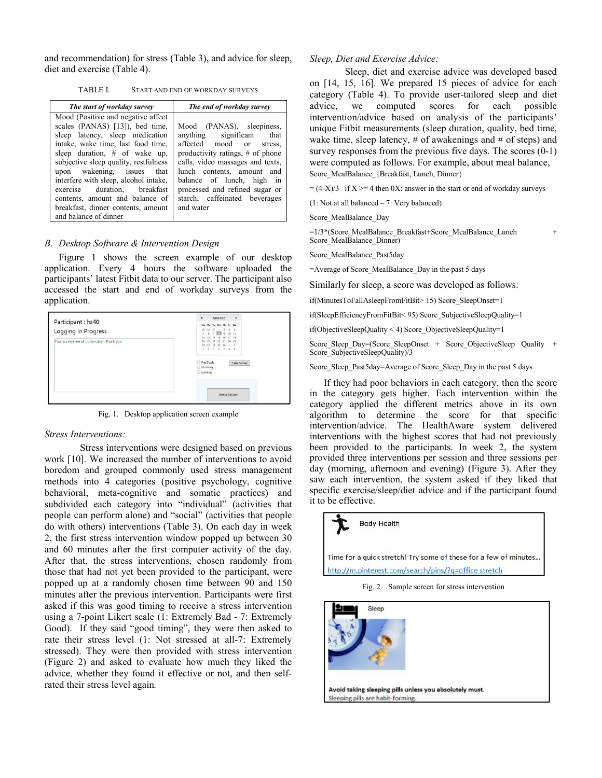and recommendation) for stress (Table 3), and advice for sleep, diet and exercise (Table 4).

TABLE I. START AND END OF WORKDAY SURVEYS

| The start of workday survey                                                                                                                                                                                                                                                                                                                                                                                                          | The end of workday survey                                                                                                                                                                                                                                                                                |  |  |
|--------------------------------------------------------------------------------------------------------------------------------------------------------------------------------------------------------------------------------------------------------------------------------------------------------------------------------------------------------------------------------------------------------------------------------------|----------------------------------------------------------------------------------------------------------------------------------------------------------------------------------------------------------------------------------------------------------------------------------------------------------|--|--|
| Mood (Positive and negative affect)<br>scales (PANAS) [13]), bed time,<br>sleep latency, sleep medication<br>intake, wake time, last food time,<br>sleep duration, $#$ of wake up,<br>subjective sleep quality, restfulness<br>upon wakening, issues that<br>interfere with sleep, alcohol intake,<br>exercise duration, breakfast<br>contents, amount and balance of<br>breakfast, dinner contents, amount<br>and balance of dinner | Mood (PANAS), sleepiness,<br>anything significant<br>that<br>affected mood or stress,<br>productivity ratings, # of phone<br>calls, video massages and texts,<br>lunch contents, amount and<br>balance of lunch, high in<br>processed and refined sugar or<br>starch, caffeinated beverages<br>and water |  |  |

## *B. Desktop Software & Intervention Design*

 Figure 1 shows the screen example of our desktop application. Every 4 hours the software uploaded the participants' latest Fitbit data to our server. The participant also accessed the start and end of workday surveys from the application.



Fig. 1. Desktop application screen example

## *Stress Interventions:*

 Stress interventions were designed based on previous work [10]. We increased the number of interventions to avoid boredom and grouped commonly used stress management methods into 4 categories (positive psychology, cognitive behavioral, meta-cognitive and somatic practices) and subdivided each category into "individual" (activities that people can perform alone) and "social" (activities that people do with others) interventions (Table 3). On each day in week 2, the first stress intervention window popped up between 30 and 60 minutes after the first computer activity of the day. After that, the stress interventions, chosen randomly from those that had not yet been provided to the participant, were popped up at a randomly chosen time between 90 and 150 minutes after the previous intervention. Participants were first asked if this was good timing to receive a stress intervention using a 7-point Likert scale (1: Extremely Bad - 7: Extremely Good). If they said "good timing", they were then asked to rate their stress level (1: Not stressed at all-7: Extremely stressed). They were then provided with stress intervention (Figure 2) and asked to evaluate how much they liked the advice, whether they found it effective or not, and then selfrated their stress level again*.* 

## *Sleep, Diet and Exercise Advice:*

 Sleep, diet and exercise advice was developed based on [14, 15, 16]. We prepared 15 pieces of advice for each category (Table 4). To provide user-tailored sleep and diet advice, we computed scores for each possible intervention/advice based on analysis of the participants' unique Fitbit measurements (sleep duration, quality, bed time, wake time, sleep latency, # of awakenings and # of steps) and survey responses from the previous five days. The scores  $(0-1)$ were computed as follows. For example, about meal balance, Score\_MealBalance\_{Breakfast, Lunch, Dinner}

 $= (4-X)/3$  if  $X \ge 4$  then 0X: answer in the start or end of workday surveys

(1: Not at all balanced – 7: Very balanced)

Score\_MealBalance\_Day

=1/3\*(Score\_MealBalance\_Breakfast+Score\_MealBalance\_Lunch + Score\_MealBalance\_Dinner)

Score\_MealBalance\_Past5day

=Average of Score\_MealBalance\_Day in the past 5 days

Similarly for sleep, a score was developed as follows:

if(MinutesToFallAsleepFromFitBit> 15) Score\_SleepOnset=1

if(SleepEfficiencyFromFitBit< 95) Score\_SubjectiveSleepQuality=1

if(ObjectiveSleepQuality < 4) Score\_ObjectiveSleepQuality=1

Score\_Sleep\_Day=(Score\_SleepOnset + Score\_ObjectiveSleep Quality + Score\_SubjectiveSleepQuality)/3

Score\_Sleep\_Past5day=Average of Score\_Sleep\_Day in the past 5 days

 If they had poor behaviors in each category, then the score in the category gets higher. Each intervention within the category applied the different metrics above in its own algorithm to determine the score for that specific intervention/advice. The HealthAware system delivered interventions with the highest scores that had not previously been provided to the participants. In week 2, the system provided three interventions per session and three sessions per day (morning, afternoon and evening) (Figure 3). After they saw each intervention, the system asked if they liked that specific exercise/sleep/diet advice and if the participant found it to be effective.



Fig. 2. Sample screen for stress intervention

| Sleep                                                   |  |  |
|---------------------------------------------------------|--|--|
|                                                         |  |  |
|                                                         |  |  |
|                                                         |  |  |
|                                                         |  |  |
| Avoid taking sleeping pills unless you absolutely must. |  |  |
| Sleeping pills are habit-forming.                       |  |  |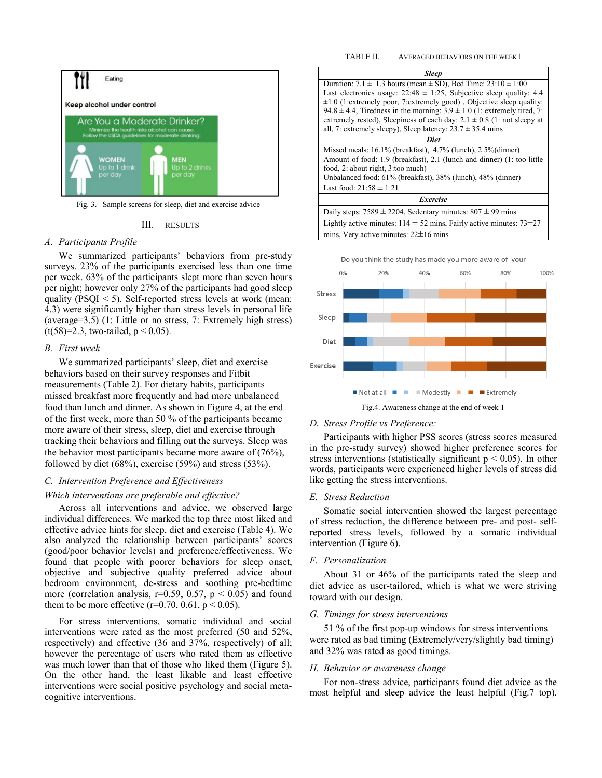

Fig. 3. Sample screens for sleep, diet and exercise advice

#### III. RESULTS

## *A. Participants Profile*

 We summarized participants' behaviors from pre-study surveys. 23% of the participants exercised less than one time per week. 63% of the participants slept more than seven hours per night; however only 27% of the participants had good sleep quality (PSQI  $\le$  5). Self-reported stress levels at work (mean: 4.3) were significantly higher than stress levels in personal life (average=3.5) (1: Little or no stress, 7: Extremely high stress)  $(t(58)=2.3,$  two-tailed,  $p < 0.05$ ).

## *B. First week*

We summarized participants' sleep, diet and exercise behaviors based on their survey responses and Fitbit measurements (Table 2). For dietary habits, participants missed breakfast more frequently and had more unbalanced food than lunch and dinner. As shown in Figure 4, at the end of the first week, more than 50 % of the participants became more aware of their stress, sleep, diet and exercise through tracking their behaviors and filling out the surveys. Sleep was the behavior most participants became more aware of (76%), followed by diet  $(68\%)$ , exercise  $(59\%)$  and stress  $(53\%)$ .

## *C. Intervention Preference and Effectiveness*

#### *Which interventions are preferable and effective?*

 Across all interventions and advice, we observed large individual differences. We marked the top three most liked and effective advice hints for sleep, diet and exercise (Table 4). We also analyzed the relationship between participants' scores (good/poor behavior levels) and preference/effectiveness. We found that people with poorer behaviors for sleep onset, objective and subjective quality preferred advice about bedroom environment, de-stress and soothing pre-bedtime more (correlation analysis,  $r=0.59$ , 0.57,  $p < 0.05$ ) and found them to be more effective ( $r=0.70, 0.61, p < 0.05$ ).

 For stress interventions, somatic individual and social interventions were rated as the most preferred (50 and 52%, respectively) and effective (36 and 37%, respectively) of all; however the percentage of users who rated them as effective was much lower than that of those who liked them (Figure 5). On the other hand, the least likable and least effective interventions were social positive psychology and social metacognitive interventions.

| <b>Sleep</b>                                                                     |  |  |  |  |
|----------------------------------------------------------------------------------|--|--|--|--|
| Duration: $7.1 \pm 1.3$ hours (mean $\pm$ SD), Bed Time: $23:10 \pm 1:00$        |  |  |  |  |
| Last electronics usage: $22:48 \pm 1:25$ , Subjective sleep quality: 4.4         |  |  |  |  |
| $\pm 1.0$ (1: extremely poor, 7: extremely good), Objective sleep quality.       |  |  |  |  |
| $94.8 \pm 4.4$ , Tiredness in the morning: $3.9 \pm 1.0$ (1: extremely tired, 7: |  |  |  |  |
| extremely rested). Sleepiness of each day: $2.1 \pm 0.8$ (1: not sleepy at       |  |  |  |  |
| all, 7: extremely sleepy), Sleep latency: $23.7 \pm 35.4$ mins                   |  |  |  |  |
| <b>Diet</b>                                                                      |  |  |  |  |
| Missed meals: $16.1\%$ (breakfast), $4.7\%$ (lunch), $2.5\%$ (dinner)            |  |  |  |  |
| Amount of food: 1.9 (breakfast), 2.1 (lunch and dinner) (1: too little           |  |  |  |  |
| food, 2: about right, 3:too much)                                                |  |  |  |  |
| Unbalanced food: 61% (breakfast), 38% (lunch), 48% (dinner)                      |  |  |  |  |
| Last food: $21:58 \pm 1:21$                                                      |  |  |  |  |
| <b>Exercise</b>                                                                  |  |  |  |  |
| Daily steps: $7589 \pm 2204$ , Sedentary minutes: $807 \pm 99$ mins              |  |  |  |  |
| Lightly active minutes: $114 \pm 52$ mins, Fairly active minutes: $73\pm27$      |  |  |  |  |
| mins, Very active minutes: $22 \pm 16$ mins                                      |  |  |  |  |



#### *D. Stress Profile vs Preference:*

 Participants with higher PSS scores (stress scores measured in the pre-study survey) showed higher preference scores for stress interventions (statistically significant  $p \le 0.05$ ). In other words, participants were experienced higher levels of stress did like getting the stress interventions.

#### *E. Stress Reduction*

 Somatic social intervention showed the largest percentage of stress reduction, the difference between pre- and post- selfreported stress levels, followed by a somatic individual intervention (Figure 6).

#### *F. Personalization*

About 31 or 46% of the participants rated the sleep and diet advice as user-tailored, which is what we were striving toward with our design.

## *G. Timings for stress interventions*

51 % of the first pop-up windows for stress interventions were rated as bad timing (Extremely/very/slightly bad timing) and 32% was rated as good timings.

#### *H. Behavior or awareness change*

 For non-stress advice, participants found diet advice as the most helpful and sleep advice the least helpful (Fig.7 top).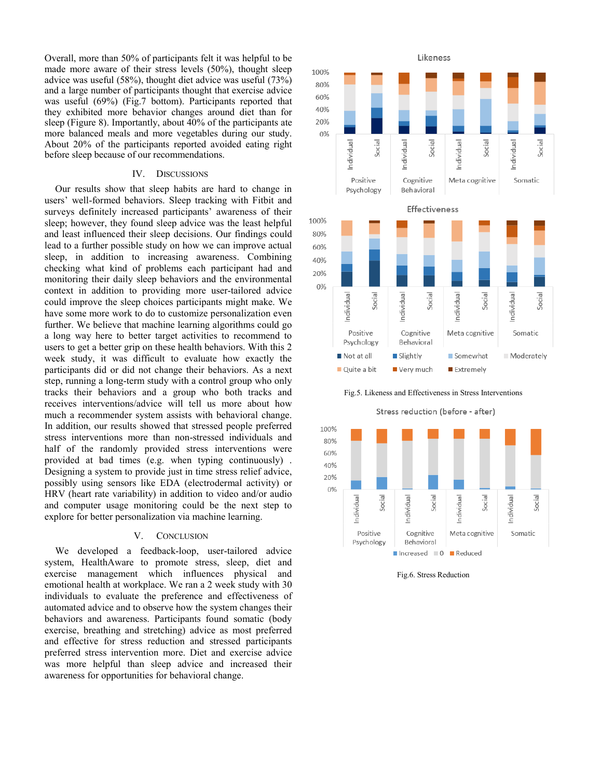Overall, more than 50% of participants felt it was helpful to be made more aware of their stress levels (50%), thought sleep advice was useful (58%), thought diet advice was useful (73%) and a large number of participants thought that exercise advice was useful (69%) (Fig.7 bottom). Participants reported that they exhibited more behavior changes around diet than for sleep (Figure 8). Importantly, about 40% of the participants ate more balanced meals and more vegetables during our study. About 20% of the participants reported avoided eating right before sleep because of our recommendations.

# IV. DISCUSSIONS

Our results show that sleep habits are hard to change in users' well-formed behaviors. Sleep tracking with Fitbit and surveys definitely increased participants' awareness of their sleep; however, they found sleep advice was the least helpful and least influenced their sleep decisions. Our findings could lead to a further possible study on how we can improve actual sleep, in addition to increasing awareness. Combining checking what kind of problems each participant had and monitoring their daily sleep behaviors and the environmental context in addition to providing more user-tailored advice could improve the sleep choices participants might make. We have some more work to do to customize personalization even further. We believe that machine learning algorithms could go a long way here to better target activities to recommend to users to get a better grip on these health behaviors. With this 2 week study, it was difficult to evaluate how exactly the participants did or did not change their behaviors. As a next step, running a long-term study with a control group who only tracks their behaviors and a group who both tracks and receives interventions/advice will tell us more about how much a recommender system assists with behavioral change. In addition, our results showed that stressed people preferred stress interventions more than non-stressed individuals and half of the randomly provided stress interventions were provided at bad times (e.g. when typing continuously) . Designing a system to provide just in time stress relief advice, possibly using sensors like EDA (electrodermal activity) or HRV (heart rate variability) in addition to video and/or audio and computer usage monitoring could be the next step to explore for better personalization via machine learning.

#### V. CONCLUSION

We developed a feedback-loop, user-tailored advice system, HealthAware to promote stress, sleep, diet and exercise management which influences physical and emotional health at workplace. We ran a 2 week study with 30 individuals to evaluate the preference and effectiveness of automated advice and to observe how the system changes their behaviors and awareness. Participants found somatic (body exercise, breathing and stretching) advice as most preferred and effective for stress reduction and stressed participants preferred stress intervention more. Diet and exercise advice was more helpful than sleep advice and increased their awareness for opportunities for behavioral change.



Fig.5. Likeness and Effectiveness in Stress Interventions





Fig.6. Stress Reduction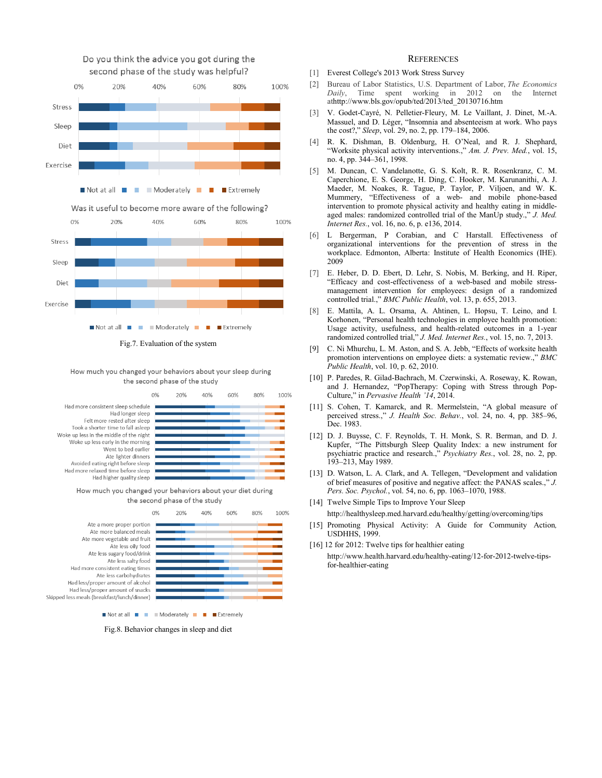

Do you think the advice you got during the second phase of the study was helpful?



Fig.7. Evaluation of the system

How much you changed your behaviors about your sleep during the second phase of the study



How much you changed your behaviors about your diet during the second phase of the study



Not at all **Notified Area** Moderately **Notified By Extremely** 

Fig.8. Behavior changes in sleep and diet

#### **REFERENCES**

- [1] Everest College's 2013 Work Stress Survey
- [2] Bureau of Labor Statistics, U.S. Department of Labor, *The Economics Daily*, Time spent working in 2012 on the Internet athttp://www.bls.gov/opub/ted/2013/ted\_20130716.htm
- [3] V. Godet-Cayré, N. Pelletier-Fleury, M. Le Vaillant, J. Dinet, M.-A. Massuel, and D. Léger, "Insomnia and absenteeism at work. Who pays the cost?," *Sleep*, vol. 29, no. 2, pp. 179–184, 2006.
- R. K. Dishman, B. Oldenburg, H. O'Neal, and R. J. Shephard, "Worksite physical activity interventions.," *Am. J. Prev. Med.*, vol. 15, no. 4, pp. 344–361, 1998.
- [5] M. Duncan, C. Vandelanotte, G. S. Kolt, R. R. Rosenkranz, C. M. Caperchione, E. S. George, H. Ding, C. Hooker, M. Karunanithi, A. J. Maeder, M. Noakes, R. Tague, P. Taylor, P. Viljoen, and W. K. Mummery, "Effectiveness of a web- and mobile phone-based intervention to promote physical activity and healthy eating in middleaged males: randomized controlled trial of the ManUp study.," *J. Med. Internet Res.*, vol. 16, no. 6, p. e136, 2014.
- L Bergerman, P Corabian, and C Harstall. Effectiveness of organizational interventions for the prevention of stress in the workplace. Edmonton, Alberta: Institute of Health Economics (IHE). 2009
- [7] E. Heber, D. D. Ebert, D. Lehr, S. Nobis, M. Berking, and H. Riper, "Efficacy and cost-effectiveness of a web-based and mobile stressmanagement intervention for employees: design of a randomized controlled trial.," *BMC Public Health*, vol. 13, p. 655, 2013.
- [8] E. Mattila, A. L. Orsama, A. Ahtinen, L. Hopsu, T. Leino, and I. Korhonen, "Personal health technologies in employee health promotion: Usage activity, usefulness, and health-related outcomes in a 1-year randomized controlled trial," *J. Med. Internet Res.*, vol. 15, no. 7, 2013.
- [9] C. Ni Mhurchu, L. M. Aston, and S. A. Jebb, "Effects of worksite health promotion interventions on employee diets: a systematic review.," *BMC Public Health*, vol. 10, p. 62, 2010.
- [10] P. Paredes, R. Gilad-Bachrach, M. Czerwinski, A. Roseway, K. Rowan, and J. Hernandez, "PopTherapy: Coping with Stress through Pop-Culture," in *Pervasive Health '14*, 2014.
- [11] S. Cohen, T. Kamarck, and R. Mermelstein, "A global measure of perceived stress.," *J. Health Soc. Behav.*, vol. 24, no. 4, pp. 385–96, Dec. 1983.
- [12] D. J. Buysse, C. F. Reynolds, T. H. Monk, S. R. Berman, and D. J. Kupfer, "The Pittsburgh Sleep Quality Index: a new instrument for psychiatric practice and research.," *Psychiatry Res.*, vol. 28, no. 2, pp. 193–213, May 1989.
- [13] D. Watson, L. A. Clark, and A. Tellegen, "Development and validation of brief measures of positive and negative affect: the PANAS scales.," *J. Pers. Soc. Psychol.*, vol. 54, no. 6, pp. 1063–1070, 1988.
- [14] Twelve Simple Tips to Improve Your Sleep http://healthysleep.med.harvard.edu/healthy/getting/overcoming/tips
- [15] Promoting Physical Activity: A Guide for Community Action*,*  USDHHS, 1999.
- [16] 12 for 2012: Twelve tips for healthier eating http://www.health.harvard.edu/healthy-eating/12-for-2012-twelve-tipsfor-healthier-eating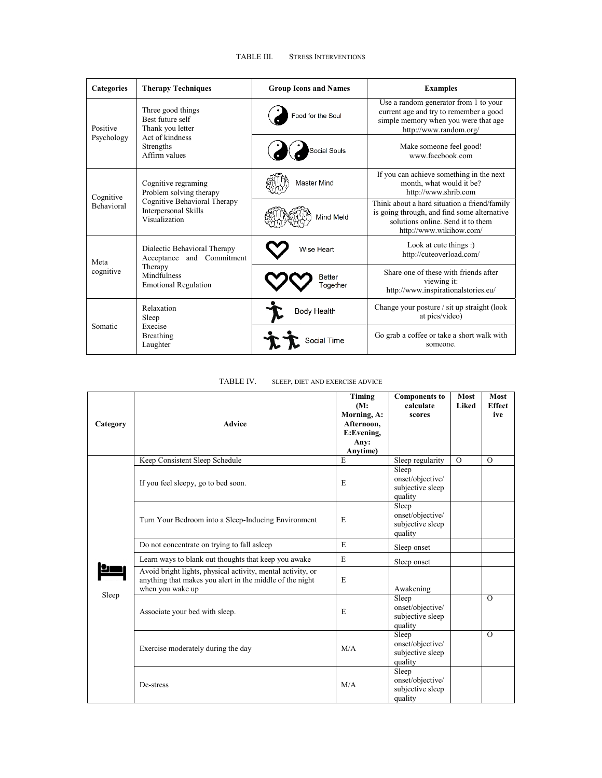# TABLE III. STRESS INTERVENTIONS

| <b>Categories</b>              | <b>Therapy Techniques</b>                                                                                               | <b>Group Icons and Names</b> | <b>Examples</b>                                                                                                                                             |  |  |
|--------------------------------|-------------------------------------------------------------------------------------------------------------------------|------------------------------|-------------------------------------------------------------------------------------------------------------------------------------------------------------|--|--|
| Positive<br>Psychology         | Three good things<br>Best future self<br>Thank you letter                                                               | Food for the Soul            | Use a random generator from 1 to your<br>current age and try to remember a good<br>simple memory when you were that age<br>http://www.random.org/           |  |  |
|                                | Act of kindness<br>Strengths<br>Affirm values                                                                           | Social Souls                 | Make someone feel good!<br>www.facebook.com                                                                                                                 |  |  |
| Cognitive<br><b>Behavioral</b> | Cognitive regraming<br>Problem solving therapy<br>Cognitive Behavioral Therapy<br>Interpersonal Skills<br>Visualization | Master Mind                  | If you can achieve something in the next<br>month, what would it be?<br>http://www.shrib.com                                                                |  |  |
|                                |                                                                                                                         | Mind Meld                    | Think about a hard situation a friend/family<br>is going through, and find some alternative<br>solutions online. Send it to them<br>http://www.wikihow.com/ |  |  |
| Meta<br>cognitive              | Dialectic Behavioral Therapy<br>Acceptance and Commitment<br>Therapy<br>Mindfulness<br><b>Emotional Regulation</b>      | Wise Heart                   | Look at cute things :)<br>http://cuteoverload.com/                                                                                                          |  |  |
|                                |                                                                                                                         | <b>Better</b><br>Together    | Share one of these with friends after<br>viewing it:<br>http://www.inspirationalstories.eu/                                                                 |  |  |
| Somatic                        | Relaxation<br>Sleep<br>Execise<br><b>Breathing</b><br>Laughter                                                          | <b>Body Health</b>           | Change your posture / sit up straight (look<br>at pics/video)                                                                                               |  |  |
|                                |                                                                                                                         | Social Time                  | Go grab a coffee or take a short walk with<br>someone.                                                                                                      |  |  |

#### TABLE IV. SLEEP, DIET AND EXERCISE ADVICE

| Category | <b>Advice</b>                                                                                                                               | Timing<br>(M:<br>Morning, A:<br>Afternoon,<br>E:Evening,<br>Any:<br>Anytime) | <b>Components to</b><br>calculate<br>scores              | <b>Most</b><br>Liked | <b>Most</b><br><b>Effect</b><br>ive |
|----------|---------------------------------------------------------------------------------------------------------------------------------------------|------------------------------------------------------------------------------|----------------------------------------------------------|----------------------|-------------------------------------|
|          | Keep Consistent Sleep Schedule                                                                                                              | E                                                                            | Sleep regularity                                         | $\Omega$             | $\Omega$                            |
| Sleep    | If you feel sleepy, go to bed soon.                                                                                                         | E                                                                            | Sleep<br>onset/objective/<br>subjective sleep<br>quality |                      |                                     |
|          | Turn Your Bedroom into a Sleep-Inducing Environment                                                                                         | E                                                                            | Sleep<br>onset/objective/<br>subjective sleep<br>quality |                      |                                     |
|          | Do not concentrate on trying to fall as leep                                                                                                | E                                                                            | Sleep onset                                              |                      |                                     |
|          | Learn ways to blank out thoughts that keep you awake                                                                                        | E                                                                            | Sleep onset                                              |                      |                                     |
|          | Avoid bright lights, physical activity, mental activity, or<br>anything that makes you alert in the middle of the night<br>when you wake up | E                                                                            | Awakening                                                |                      |                                     |
|          | Associate your bed with sleep.                                                                                                              | E                                                                            | Sleep<br>onset/objective/<br>subjective sleep<br>quality |                      | $\Omega$                            |
|          | Exercise moderately during the day                                                                                                          | M/A                                                                          | Sleep<br>onset/objective/<br>subjective sleep<br>quality |                      | $\Omega$                            |
|          | De-stress                                                                                                                                   | M/A                                                                          | Sleep<br>onset/objective/<br>subjective sleep<br>quality |                      |                                     |